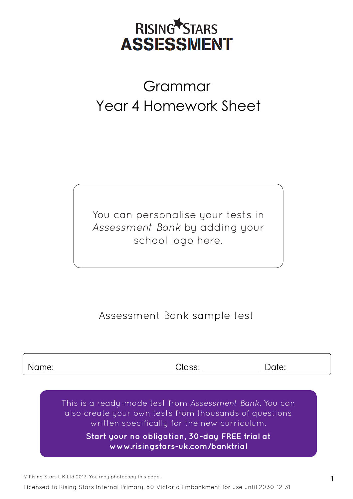

## **Grammar, Punctuation Year 4 Homework Sheet**  Grammar Year 4 Homework Sheet

You can personalise your tests in *Assessment Bank* by adding your school logo here.

#### Assessment Bank sample test

Name:

Class: \_\_\_\_

Date:

This is a ready-made test from *Assessment Bank.* You can also create your own tests from thousands of questions written specifically for the new curriculum.

> **Start your no obligation, 30-day FREE trial at [www.risingstars-uk.com/banktrial](http://www.risingstars-uk.com/banktrial)**

© Rising Stars UK Ltd 2017. You may photocopy this page. **1**

Licensed to Rising Stars Internal Primary, 50 Victoria Embankment for use until 2030-12-31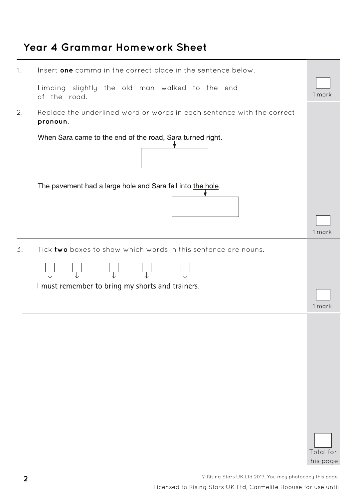#### **Year 4 Grammar Homework Sheet**

| 1. | Insert one comma in the correct place in the sentence below.                                                       |                        |  |  |  |  |
|----|--------------------------------------------------------------------------------------------------------------------|------------------------|--|--|--|--|
|    | Limping slightly the old man walked to the end<br>of the road.                                                     | 1 mark                 |  |  |  |  |
| 2. | Replace the underlined word or words in each sentence with the correct<br>pronoun.                                 |                        |  |  |  |  |
|    | When Sara came to the end of the road, Sara turned right.                                                          |                        |  |  |  |  |
|    | The pavement had a large hole and Sara fell into the hole.                                                         | 1 mark                 |  |  |  |  |
| 3. | Tick two boxes to show which words in this sentence are nouns.<br>I must remember to bring my shorts and trainers. | 1 mark                 |  |  |  |  |
|    |                                                                                                                    | Total for<br>this page |  |  |  |  |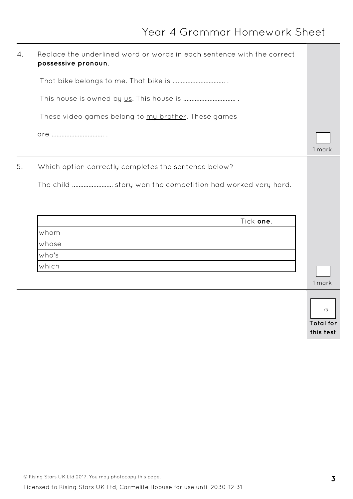| 4. | Replace the underlined word or words in each sentence with the correct |                        |  |  |  |
|----|------------------------------------------------------------------------|------------------------|--|--|--|
|    |                                                                        |                        |  |  |  |
|    |                                                                        |                        |  |  |  |
|    | These video games belong to my brother. These games                    |                        |  |  |  |
|    |                                                                        | 1 mark                 |  |  |  |
| 5. | Which option correctly completes the sentence below?                   |                        |  |  |  |
|    | The child  story won the competition had worked very hard.             |                        |  |  |  |
|    | Tick one.                                                              |                        |  |  |  |
|    | whom                                                                   |                        |  |  |  |
|    | whose                                                                  |                        |  |  |  |
|    | who's                                                                  |                        |  |  |  |
|    | which                                                                  |                        |  |  |  |
|    |                                                                        | 1 mark                 |  |  |  |
|    |                                                                        | /5<br><b>Total for</b> |  |  |  |

**this test**